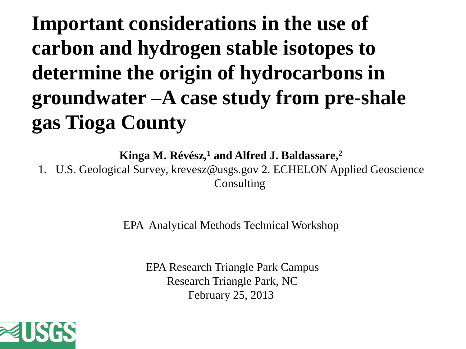## **Important considerations in the use of carbon and hydrogen stable isotopes to determine the origin of hydrocarbons in groundwater –A case study from pre-shale gas Tioga County**

**Kinga M. Révész,1 and Alfred J. Baldassare,2**

1. U.S. Geological Survey, krevesz@usgs.gov 2. ECHELON Applied Geoscience **Consulting** 

EPA Analytical Methods Technical Workshop

EPA Research Triangle Park Campus Research Triangle Park, NC February 25, 2013

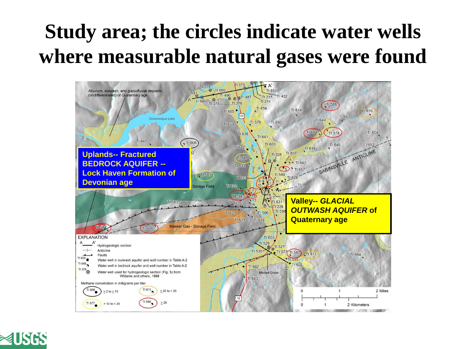#### **Study area; the circles indicate water wells where measurable natural gases were found**



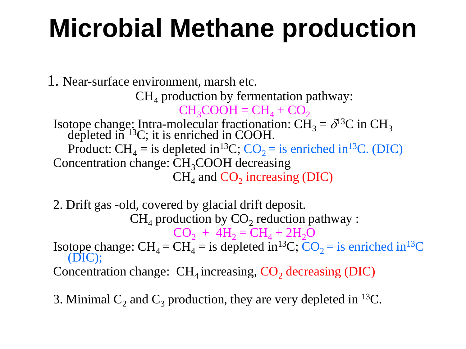# **Microbial Methane production**

1. Near-surface environment, marsh etc.  $CH<sub>4</sub>$  production by fermentation pathway:  $CH<sub>3</sub>COOH = CH<sub>4</sub> + CO<sub>2</sub>$ Isotope change: Intra-molecular fractionation:  $\tilde{\text{CH}}_3 = \delta^{13}\text{C}$  in  $\text{CH}_3$  depleted in <sup>13</sup>C; it is enriched in COOH. Product:  $CH<sub>4</sub> =$  is depleted in<sup>13</sup>C; CO<sub>2</sub> = is enriched in<sup>13</sup>C. (DIC) Concentration change:  $CH<sub>3</sub>COOH$  decreasing  $CH<sub>4</sub>$  and  $CO<sub>2</sub>$  increasing (DIC)

2. Drift gas -old, covered by glacial drift deposit.  $CH<sub>4</sub>$  production by  $CO<sub>2</sub>$  reduction pathway :  $CO_2 + 4H_2 = CH_4 + 2H_2O$ Isotope change:  $CH_4 = CH_4 =$  is depleted in<sup>13</sup>C;  $CO_2 =$  is enriched in<sup>13</sup>C (DIC); Concentration change:  $CH<sub>4</sub>$  increasing,  $CO<sub>2</sub>$  decreasing (DIC)

3. Minimal  $C_2$  and  $C_3$  production, they are very depleted in <sup>13</sup>C.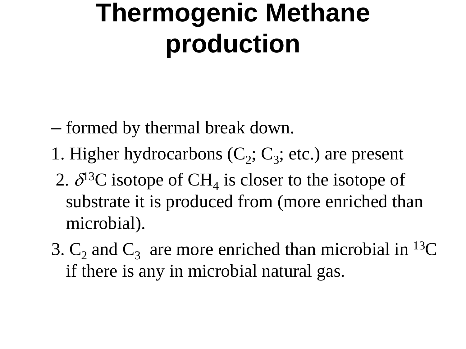# **Thermogenic Methane production**

- formed by thermal break down.
- 1. Higher hydrocarbons  $(C_2; C_3;$  etc.) are present
- 2.  $\delta^{13}$ C isotope of CH<sub>4</sub> is closer to the isotope of substrate it is produced from (more enriched than microbial).
- 3.  $C_2$  and  $C_3$  are more enriched than microbial in <sup>13</sup>C if there is any in microbial natural gas.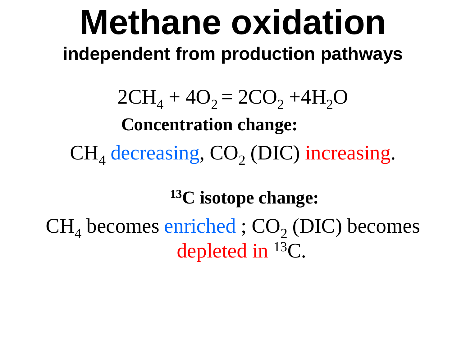# **Methane oxidation independent from production pathways**

 $2CH_4 + 4O_2 = 2CO_2 + 4H_2O$ **Concentration change:**  $CH<sub>4</sub>$  decreasing,  $CO<sub>2</sub>$  (DIC) increasing.

**13C isotope change:**

 $CH<sub>4</sub>$  becomes enriched ;  $CO<sub>2</sub>$  (DIC) becomes depleted in 13C.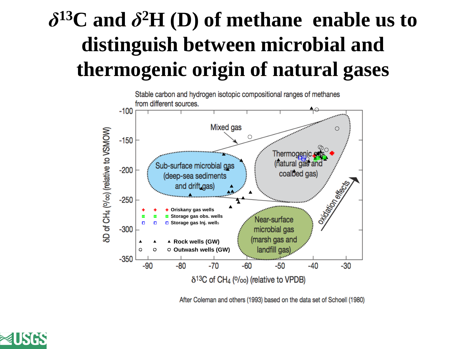### *δ***13C and** *δ***2H (D) of methane enable us to distinguish between microbial and thermogenic origin of natural gases**



After Coleman and others (1993) based on the data set of Schoell (1980)

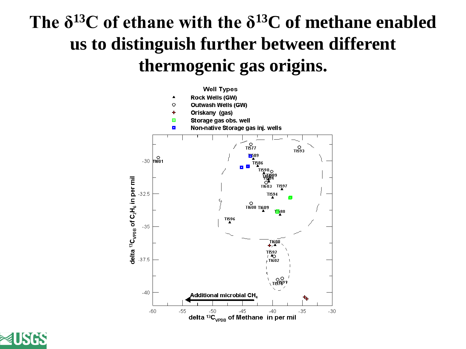#### **The δ<sup>13</sup>C of ethane with the δ13C of methane enabled us to distinguish further between different thermogenic gas origins.**



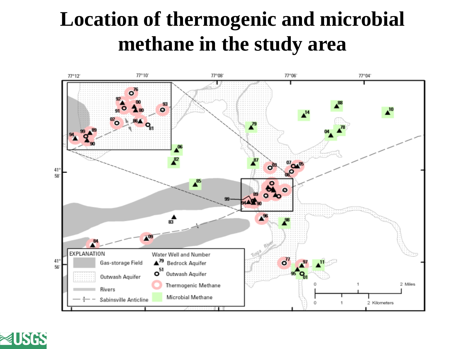#### **Location of thermogenic and microbial methane in the study area**



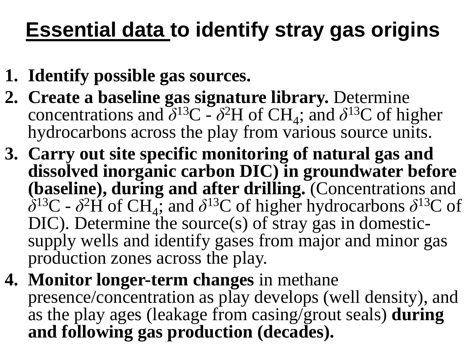## **Essential data to identify stray gas origins**

- **1. Identify possible gas sources.**
- **2. Create a baseline gas signature library.** Determine concentrations and  $\delta^{13}C - \delta^2H$  of CH<sub>4</sub>; and  $\delta^{13}C$  of higher hydrocarbons across the play from various source units.
- **3. Carry out site specific monitoring of natural gas and dissolved inorganic carbon DIC) in groundwater before (baseline), during and after drilling.** (Concentrations and  $\delta^{13}C$  -  $\delta^2H$  of CH<sub>4</sub>; and  $\delta^{13}C$  of higher hydrocarbons  $\delta^{13}C$  of DIC). Determine the source(s) of stray gas in domesticsupply wells and identify gases from major and minor gas production zones across the play.
- **4. Monitor longer-term changes** in methane presence/concentration as play develops (well density), and as the play ages (leakage from casing/grout seals) **during and following gas production (decades).**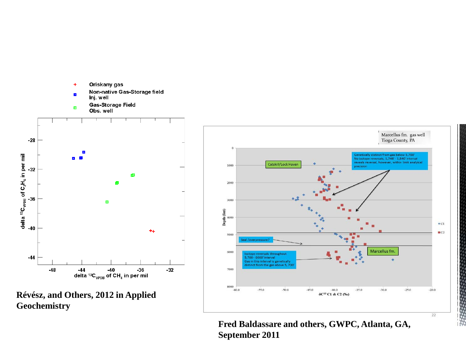





**Fred Baldassare and others, GWPC, Atlanta, GA, September 2011**